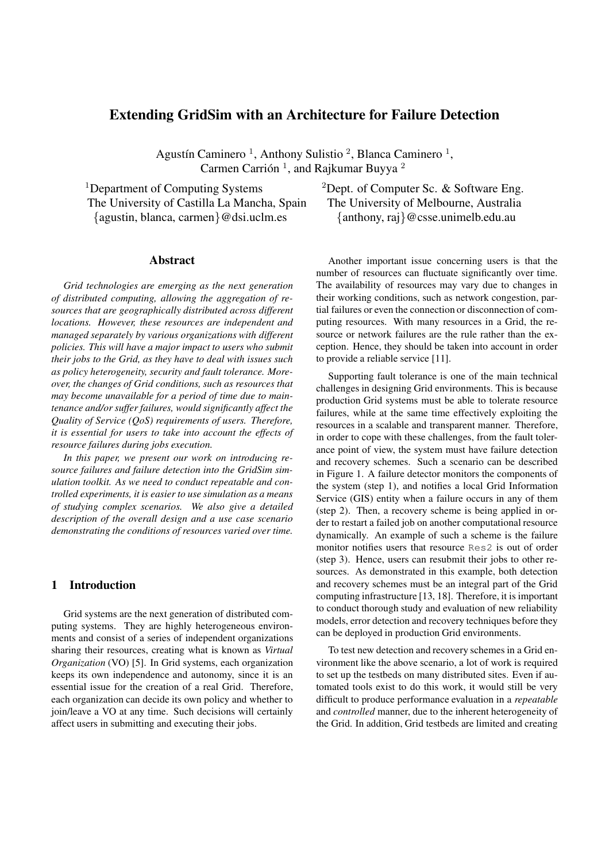# **Extending GridSim with an Architecture for Failure Detection**

Agustín Caminero<sup>1</sup>, Anthony Sulistio<sup>2</sup>, Blanca Caminero<sup>1</sup>, Carmen Carrión<sup>1</sup>, and Rajkumar Buyya<sup>2</sup>

The University of Castilla La Mancha, Spain The University of Melbourne, Australia {agustin, blanca, carmen}@dsi.uclm.es {anthony, raj}@csse.unimelb.edu.au

### **Abstract**

*Grid technologies are emerging as the next generation of distributed computing, allowing the aggregation of resources that are geographically distributed across different locations. However, these resources are independent and managed separately by various organizations with different policies. This will have a major impact to users who submit their jobs to the Grid, as they have to deal with issues such as policy heterogeneity, security and fault tolerance. Moreover, the changes of Grid conditions, such as resources that may become unavailable for a period of time due to maintenance and/or suffer failures, would significantly affect the Quality of Service (QoS) requirements of users. Therefore, it is essential for users to take into account the effects of resource failures during jobs execution.*

*In this paper, we present our work on introducing resource failures and failure detection into the GridSim simulation toolkit. As we need to conduct repeatable and controlled experiments, it is easier to use simulation as a means of studying complex scenarios. We also give a detailed description of the overall design and a use case scenario demonstrating the conditions of resources varied over time.*

## **1 Introduction**

Grid systems are the next generation of distributed computing systems. They are highly heterogeneous environments and consist of a series of independent organizations sharing their resources, creating what is known as *Virtual Organization* (VO) [5]. In Grid systems, each organization keeps its own independence and autonomy, since it is an essential issue for the creation of a real Grid. Therefore, each organization can decide its own policy and whether to join/leave a VO at any time. Such decisions will certainly affect users in submitting and executing their jobs.

<sup>1</sup>Department of Computing Systems <sup>2</sup>Dept. of Computer Sc. & Software Eng.

Another important issue concerning users is that the number of resources can fluctuate significantly over time. The availability of resources may vary due to changes in their working conditions, such as network congestion, partial failures or even the connection or disconnection of computing resources. With many resources in a Grid, the resource or network failures are the rule rather than the exception. Hence, they should be taken into account in order to provide a reliable service [11].

Supporting fault tolerance is one of the main technical challenges in designing Grid environments. This is because production Grid systems must be able to tolerate resource failures, while at the same time effectively exploiting the resources in a scalable and transparent manner. Therefore, in order to cope with these challenges, from the fault tolerance point of view, the system must have failure detection and recovery schemes. Such a scenario can be described in Figure 1. A failure detector monitors the components of the system (step 1), and notifies a local Grid Information Service (GIS) entity when a failure occurs in any of them (step 2). Then, a recovery scheme is being applied in order to restart a failed job on another computational resource dynamically. An example of such a scheme is the failure monitor notifies users that resource Res2 is out of order (step 3). Hence, users can resubmit their jobs to other resources. As demonstrated in this example, both detection and recovery schemes must be an integral part of the Grid computing infrastructure [13, 18]. Therefore, it is important to conduct thorough study and evaluation of new reliability models, error detection and recovery techniques before they can be deployed in production Grid environments.

To test new detection and recovery schemes in a Grid environment like the above scenario, a lot of work is required to set up the testbeds on many distributed sites. Even if automated tools exist to do this work, it would still be very difficult to produce performance evaluation in a *repeatable* and *controlled* manner, due to the inherent heterogeneity of the Grid. In addition, Grid testbeds are limited and creating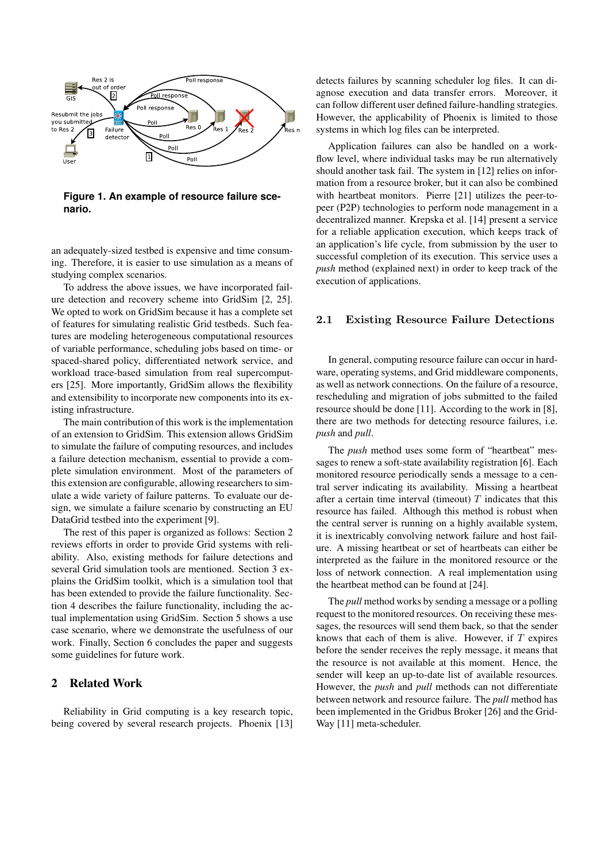

**Figure 1. An example of resource failure scenario.**

an adequately-sized testbed is expensive and time consuming. Therefore, it is easier to use simulation as a means of studying complex scenarios.

To address the above issues, we have incorporated failure detection and recovery scheme into GridSim [2, 25]. We opted to work on GridSim because it has a complete set of features for simulating realistic Grid testbeds. Such features are modeling heterogeneous computational resources of variable performance, scheduling jobs based on time- or spaced-shared policy, differentiated network service, and workload trace-based simulation from real supercomputers [25]. More importantly, GridSim allows the flexibility and extensibility to incorporate new componentsinto its existing infrastructure.

The main contribution of this work is the implementation of an extension to GridSim. This extension allows GridSim to simulate the failure of computing resources, and includes a failure detection mechanism, essential to provide a complete simulation environment. Most of the parameters of this extension are configurable, allowing researchers to simulate a wide variety of failure patterns. To evaluate our design, we simulate a failure scenario by constructing an EU DataGrid testbed into the experiment [9].

The rest of this paper is organized as follows: Section 2 reviews efforts in order to provide Grid systems with reliability. Also, existing methods for failure detections and several Grid simulation tools are mentioned. Section 3 explains the GridSim toolkit, which is a simulation tool that has been extended to provide the failure functionality. Section 4 describes the failure functionality, including the actual implementation using GridSim. Section 5 shows a use case scenario, where we demonstrate the usefulness of our work. Finally, Section 6 concludes the paper and suggests some guidelines for future work.

## **2 Related Work**

Reliability in Grid computing is a key research topic, being covered by several research projects. Phoenix [13]

detects failures by scanning scheduler log files. It can diagnose execution and data transfer errors. Moreover, it can follow different user defined failure-handling strategies. However, the applicability of Phoenix is limited to those systems in which log files can be interpreted.

Application failures can also be handled on a workflow level, where individual tasks may be run alternatively should another task fail. The system in [12] relies on information from a resource broker, but it can also be combined with heartbeat monitors. Pierre [21] utilizes the peer-topeer (P2P) technologies to perform node management in a decentralized manner. Krepska et al. [14] present a service for a reliable application execution, which keeps track of an application's life cycle, from submission by the user to successful completion of its execution. This service uses a *push* method (explained next) in order to keep track of the execution of applications.

### 2.1 Existing Resource Failure Detections

In general, computing resource failure can occur in hardware, operating systems, and Grid middleware components, as well as network connections. On the failure of a resource, rescheduling and migration of jobs submitted to the failed resource should be done [11]. According to the work in [8], there are two methods for detecting resource failures, i.e. *push* and *pull*.

The *push* method uses some form of "heartbeat" messages to renew a soft-state availability registration [6]. Each monitored resource periodically sends a message to a central server indicating its availability. Missing a heartbeat after a certain time interval (timeout)  $T$  indicates that this resource has failed. Although this method is robust when the central server is running on a highly available system, it is inextricably convolving network failure and host failure. A missing heartbeat or set of heartbeats can either be interpreted as the failure in the monitored resource or the loss of network connection. A real implementation using the heartbeat method can be found at [24].

The *pull* method works by sending a message or a polling request to the monitored resources. On receiving these messages, the resources will send them back, so that the sender knows that each of them is alive. However, if  $T$  expires before the sender receives the reply message, it means that the resource is not available at this moment. Hence, the sender will keep an up-to-date list of available resources. However, the *push* and *pull* methods can not differentiate between network and resource failure. The *pull* method has been implemented in the Gridbus Broker [26] and the Grid-Way [11] meta-scheduler.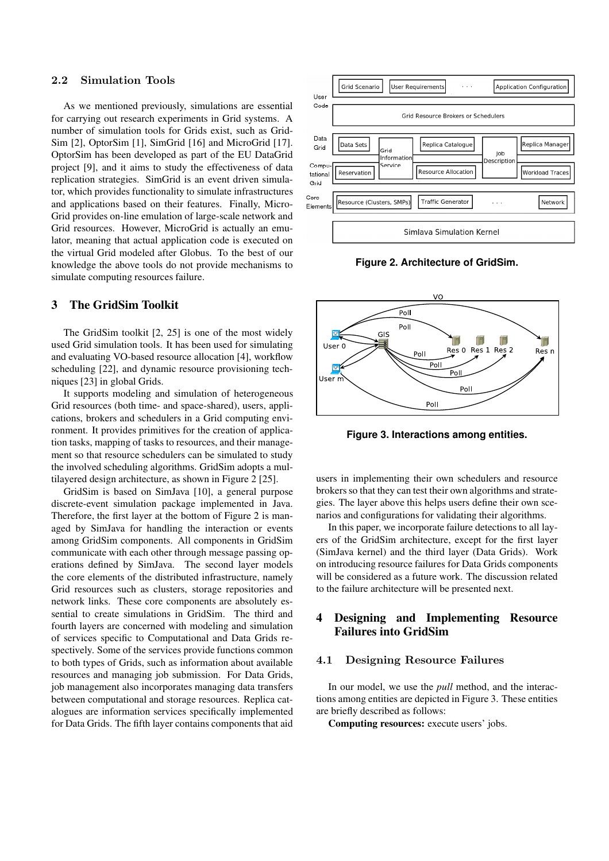### 2.2 Simulation Tools

As we mentioned previously, simulations are essential for carrying out research experiments in Grid systems. A number of simulation tools for Grids exist, such as Grid-Sim [2], OptorSim [1], SimGrid [16] and MicroGrid [17]. OptorSim has been developed as part of the EU DataGrid project [9], and it aims to study the effectiveness of data replication strategies. SimGrid is an event driven simulator, which provides functionality to simulate infrastructures and applications based on their features. Finally, Micro-Grid provides on-line emulation of large-scale network and Grid resources. However, MicroGrid is actually an emulator, meaning that actual application code is executed on the virtual Grid modeled after Globus. To the best of our knowledge the above tools do not provide mechanisms to simulate computing resources failure.

## **3 The GridSim Toolkit**

The GridSim toolkit [2, 25] is one of the most widely used Grid simulation tools. It has been used for simulating and evaluating VO-based resource allocation [4], workflow scheduling [22], and dynamic resource provisioning techniques [23] in global Grids.

It supports modeling and simulation of heterogeneous Grid resources (both time- and space-shared), users, applications, brokers and schedulers in a Grid computing environment. It provides primitives for the creation of application tasks, mapping of tasks to resources, and their management so that resource schedulers can be simulated to study the involved scheduling algorithms. GridSim adopts a multilayered design architecture, as shown in Figure 2 [25].

GridSim is based on SimJava [10], a general purpose discrete-event simulation package implemented in Java. Therefore, the first layer at the bottom of Figure 2 is managed by SimJava for handling the interaction or events among GridSim components. All components in GridSim communicate with each other through message passing operations defined by SimJava. The second layer models the core elements of the distributed infrastructure, namely Grid resources such as clusters, storage repositories and network links. These core components are absolutely essential to create simulations in GridSim. The third and fourth layers are concerned with modeling and simulation of services specific to Computational and Data Grids respectively. Some of the services provide functions common to both types of Grids, such as information about available resources and managing job submission. For Data Grids, job management also incorporates managing data transfers between computational and storage resources. Replica catalogues are information services specifically implemented for Data Grids. The fifth layer contains components that aid



**Figure 2. Architecture of GridSim.**



**Figure 3. Interactions among entities.**

users in implementing their own schedulers and resource brokers so that they can test their own algorithms and strategies. The layer above this helps users define their own scenarios and configurations for validating their algorithms.

In this paper, we incorporate failure detections to all layers of the GridSim architecture, except for the first layer (SimJava kernel) and the third layer (Data Grids). Work on introducing resource failures for Data Grids components will be considered as a future work. The discussion related to the failure architecture will be presented next.

## **4 Designing and Implementing Resource Failures into GridSim**

### 4.1 Designing Resource Failures

In our model, we use the *pull* method, and the interactions among entities are depicted in Figure 3. These entities are briefly described as follows:

**Computing resources:** execute users' jobs.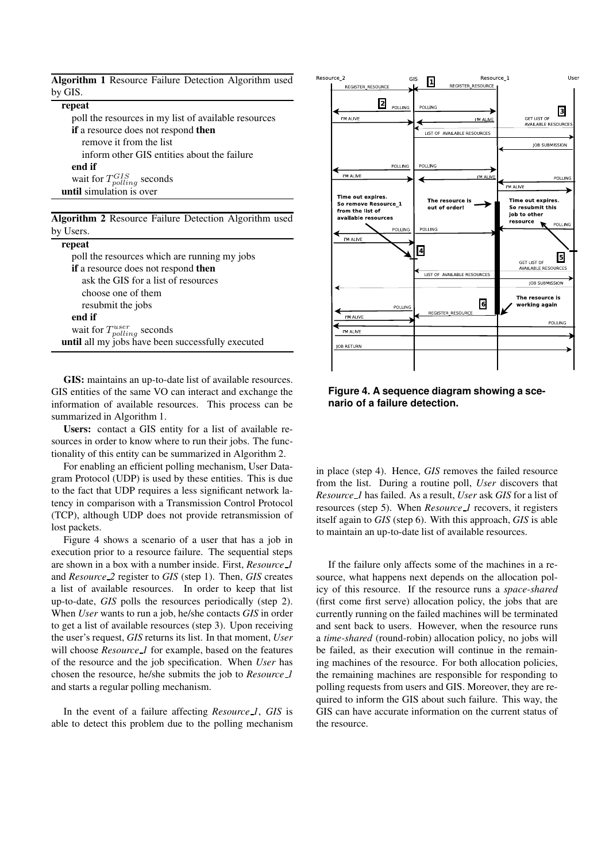| Algorithm 1 Resource Failure Detection Algorithm used |  |  |  |
|-------------------------------------------------------|--|--|--|
| by GIS.                                               |  |  |  |

#### **repeat**

poll the resources in my list of available resources **if** a resource does not respond **then** remove it from the list inform other GIS entities about the failure **end if** wait for  $T_{polling}^{GIS}$  seconds **until** simulation is over

**Algorithm 2** Resource Failure Detection Algorithm used by Users.

| repeat                                            |
|---------------------------------------------------|
| poll the resources which are running my jobs      |
| <b>if</b> a resource does not respond then        |
| ask the GIS for a list of resources               |
| choose one of them                                |
| resubmit the jobs                                 |
| end if                                            |
| wait for $T_{polling}^{user}$ seconds             |
| until all my jobs have been successfully executed |

**GIS:** maintains an up-to-date list of available resources. GIS entities of the same VO can interact and exchange the information of available resources. This process can be summarized in Algorithm 1.

**Users:** contact a GIS entity for a list of available resources in order to know where to run their jobs. The functionality of this entity can be summarized in Algorithm 2.

For enabling an efficient polling mechanism, User Datagram Protocol (UDP) is used by these entities. This is due to the fact that UDP requires a less significant network latency in comparison with a Transmission Control Protocol (TCP), although UDP does not provide retransmission of lost packets.

Figure 4 shows a scenario of a user that has a job in execution prior to a resource failure. The sequential steps are shown in a box with a number inside. First, *Resource 1* and *Resource 2* register to *GIS* (step 1). Then, *GIS* creates a list of available resources. In order to keep that list up-to-date, *GIS* polls the resources periodically (step 2). When *User* wants to run a job, he/she contacts *GIS* in order to get a list of available resources (step 3). Upon receiving the user's request, *GIS* returns its list. In that moment, *User* will choose *Resource 1* for example, based on the features of the resource and the job specification. When *User* has chosen the resource, he/she submits the job to *Resource 1* and starts a regular polling mechanism.

In the event of a failure affecting *Resource 1*, *GIS* is able to detect this problem due to the polling mechanism



**Figure 4. A sequence diagram showing a scenario of a failure detection.**

in place (step 4). Hence, *GIS* removes the failed resource from the list. During a routine poll, *User* discovers that *Resource 1* has failed. As a result, *User* ask *GIS* for a list of resources (step 5). When *Resource 1* recovers, it registers itself again to *GIS* (step 6). With this approach, *GIS* is able to maintain an up-to-date list of available resources.

If the failure only affects some of the machines in a resource, what happens next depends on the allocation policy of this resource. If the resource runs a *space-shared* (first come first serve) allocation policy, the jobs that are currently running on the failed machines will be terminated and sent back to users. However, when the resource runs a *time-shared* (round-robin) allocation policy, no jobs will be failed, as their execution will continue in the remaining machines of the resource. For both allocation policies, the remaining machines are responsible for responding to polling requests from users and GIS. Moreover, they are required to inform the GIS about such failure. This way, the GIS can have accurate information on the current status of the resource.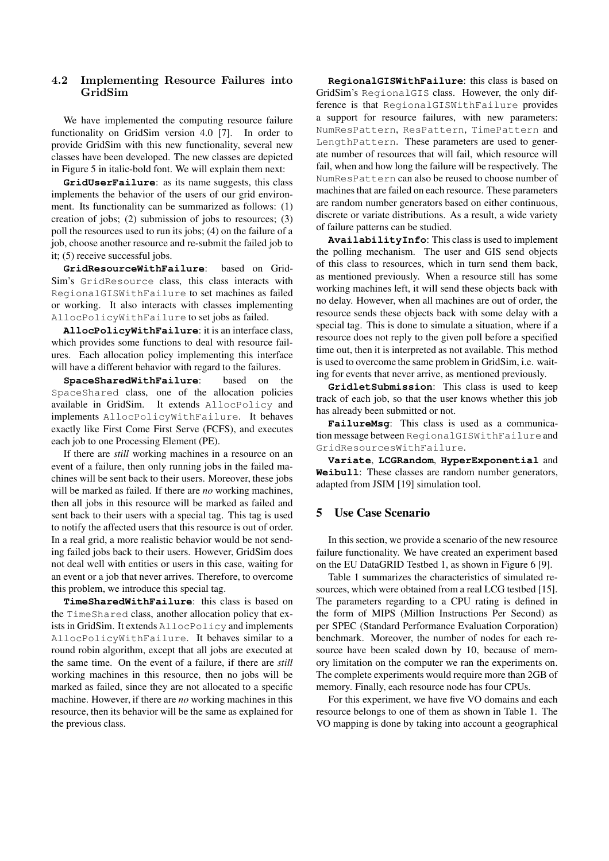## 4.2 Implementing Resource Failures into GridSim

We have implemented the computing resource failure functionality on GridSim version 4.0 [7]. In order to provide GridSim with this new functionality, several new classes have been developed. The new classes are depicted in Figure 5 in italic-bold font. We will explain them next:

**GridUserFailure**: as its name suggests, this class implements the behavior of the users of our grid environment. Its functionality can be summarized as follows: (1) creation of jobs; (2) submission of jobs to resources; (3) poll the resources used to run its jobs; (4) on the failure of a job, choose another resource and re-submit the failed job to it; (5) receive successful jobs.

**GridResourceWithFailure**: based on Grid-Sim's GridResource class, this class interacts with RegionalGISWithFailure to set machines as failed or working. It also interacts with classes implementing AllocPolicyWithFailure to set jobs as failed.

**AllocPolicyWithFailure**: it is an interface class, which provides some functions to deal with resource failures. Each allocation policy implementing this interface will have a different behavior with regard to the failures.

**SpaceSharedWithFailure**: based on the SpaceShared class, one of the allocation policies available in GridSim. It extends AllocPolicy and implements AllocPolicyWithFailure. It behaves exactly like First Come First Serve (FCFS), and executes each job to one Processing Element (PE).

If there are *still* working machines in a resource on an event of a failure, then only running jobs in the failed machines will be sent back to their users. Moreover, these jobs will be marked as failed. If there are *no* working machines, then all jobs in this resource will be marked as failed and sent back to their users with a special tag. This tag is used to notify the affected users that this resource is out of order. In a real grid, a more realistic behavior would be not sending failed jobs back to their users. However, GridSim does not deal well with entities or users in this case, waiting for an event or a job that never arrives. Therefore, to overcome this problem, we introduce this special tag.

**TimeSharedWithFailure**: this class is based on the TimeShared class, another allocation policy that exists in GridSim. It extends AllocPolicy and implements AllocPolicyWithFailure. It behaves similar to a round robin algorithm, except that all jobs are executed at the same time. On the event of a failure, if there are *still* working machines in this resource, then no jobs will be marked as failed, since they are not allocated to a specific machine. However, if there are *no* working machines in this resource, then its behavior will be the same as explained for the previous class.

**RegionalGISWithFailure**: this class is based on GridSim's RegionalGIS class. However, the only difference is that RegionalGISWithFailure provides a support for resource failures, with new parameters: NumResPattern, ResPattern, TimePattern and LengthPattern. These parameters are used to generate number of resources that will fail, which resource will fail, when and how long the failure will be respectively. The NumResPattern can also be reused to choose number of machines that are failed on each resource. These parameters are random number generators based on either continuous, discrete or variate distributions. As a result, a wide variety of failure patterns can be studied.

**AvailabilityInfo**: This class is used to implement the polling mechanism. The user and GIS send objects of this class to resources, which in turn send them back, as mentioned previously. When a resource still has some working machines left, it will send these objects back with no delay. However, when all machines are out of order, the resource sends these objects back with some delay with a special tag. This is done to simulate a situation, where if a resource does not reply to the given poll before a specified time out, then it is interpreted as not available. This method is used to overcome the same problem in GridSim, i.e. waiting for events that never arrive, as mentioned previously.

**GridletSubmission**: This class is used to keep track of each job, so that the user knows whether this job has already been submitted or not.

**FailureMsg**: This class is used as a communication message between RegionalGISWithFailure and GridResourcesWithFailure.

**Variate**, **LCGRandom**, **HyperExponential** and **Weibull**: These classes are random number generators, adapted from JSIM [19] simulation tool.

## **5 Use Case Scenario**

In this section, we provide a scenario of the new resource failure functionality. We have created an experiment based on the EU DataGRID Testbed 1, as shown in Figure 6 [9].

Table 1 summarizes the characteristics of simulated resources, which were obtained from a real LCG testbed [15]. The parameters regarding to a CPU rating is defined in the form of MIPS (Million Instructions Per Second) as per SPEC (Standard Performance Evaluation Corporation) benchmark. Moreover, the number of nodes for each resource have been scaled down by 10, because of memory limitation on the computer we ran the experiments on. The complete experiments would require more than 2GB of memory. Finally, each resource node has four CPUs.

For this experiment, we have five VO domains and each resource belongs to one of them as shown in Table 1. The VO mapping is done by taking into account a geographical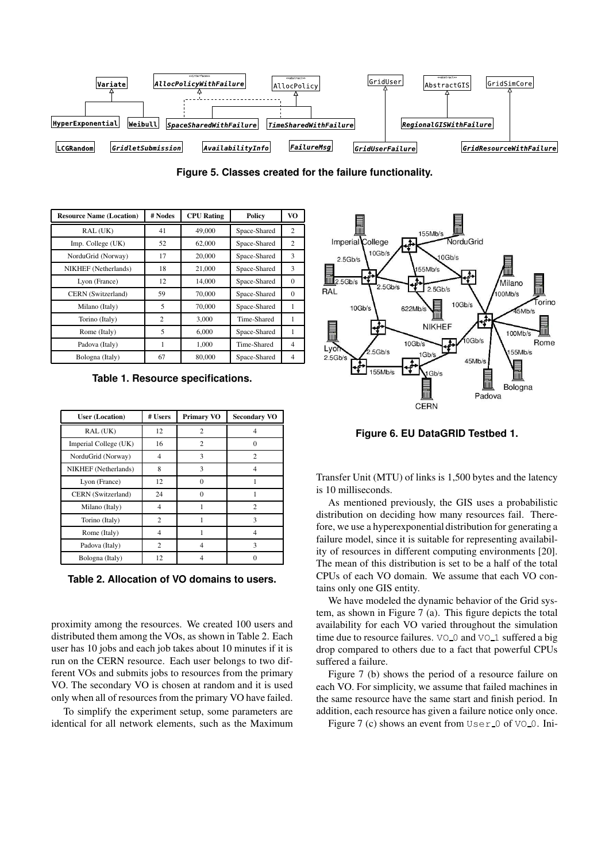

**Figure 5. Classes created for the failure functionality.**

| <b>Resource Name (Location)</b> | # Nodes        | <b>CPU</b> Rating | Policy       | VO           |
|---------------------------------|----------------|-------------------|--------------|--------------|
| RAL (UK)                        | 41             | 49,000            | Space-Shared | 2            |
| Imp. College (UK)               | 52             | 62,000            | Space-Shared | 2            |
| NorduGrid (Norway)              | 17             | 20,000            | Space-Shared | 3            |
| NIKHEF (Netherlands)            | 18             | 21,000            | Space-Shared | 3            |
| Lyon (France)                   | 12             | 14,000            | Space-Shared | $\Omega$     |
| CERN (Switzerland)              | 59             | 70,000            | Space-Shared | $\mathbf{0}$ |
| Milano (Italy)                  | 5              | 70,000            | Space-Shared | 1            |
| Torino (Italy)                  | $\overline{c}$ | 3,000             | Time-Shared  | 1            |
| Rome (Italy)                    | 5              | 6,000             | Space-Shared | 1            |
| Padova (Italy)                  | 1              | 1,000             | Time-Shared  | 4            |
| Bologna (Italy)                 | 67             | 80,000            | Space-Shared | 4            |

**Table 1. Resource specifications.**

| <b>User (Location)</b> | # Users        | <b>Primary VO</b> | <b>Secondary VO</b> |
|------------------------|----------------|-------------------|---------------------|
| RAL (UK)               | 12             | $\mathfrak{D}$    | 4                   |
| Imperial College (UK)  | 16             | $\overline{c}$    | $\Omega$            |
| NorduGrid (Norway)     | 4              | 3                 | $\mathfrak{D}$      |
| NIKHEF (Netherlands)   | 8              | 3                 | 4                   |
| Lyon (France)          | 12             | $\Omega$          |                     |
| CERN (Switzerland)     | 24             | $\Omega$          |                     |
| Milano (Italy)         | 4              |                   | $\mathfrak{D}$      |
| Torino (Italy)         | $\overline{c}$ |                   | 3                   |
| Rome (Italy)           | 4              |                   | 4                   |
| Padova (Italy)         | 2              | 4                 | 3                   |
| Bologna (Italy)        | 12             |                   |                     |

**Table 2. Allocation of VO domains to users.**

proximity among the resources. We created 100 users and distributed them among the VOs, as shown in Table 2. Each user has 10 jobs and each job takes about 10 minutes if it is run on the CERN resource. Each user belongs to two different VOs and submits jobs to resources from the primary VO. The secondary VO is chosen at random and it is used only when all of resources from the primary VO have failed.

To simplify the experiment setup, some parameters are identical for all network elements, such as the Maximum



**Figure 6. EU DataGRID Testbed 1.**

Transfer Unit (MTU) of links is 1,500 bytes and the latency is 10 milliseconds.

As mentioned previously, the GIS uses a probabilistic distribution on deciding how many resources fail. Therefore, we use a hyperexponential distribution for generating a failure model, since it is suitable for representing availability of resources in different computing environments [20]. The mean of this distribution is set to be a half of the total CPUs of each VO domain. We assume that each VO contains only one GIS entity.

We have modeled the dynamic behavior of the Grid system, as shown in Figure 7 (a). This figure depicts the total availability for each VO varied throughout the simulation time due to resource failures. VO 0 and VO 1 suffered a big drop compared to others due to a fact that powerful CPUs suffered a failure.

Figure 7 (b) shows the period of a resource failure on each VO. For simplicity, we assume that failed machines in the same resource have the same start and finish period. In addition, each resource has given a failure notice only once.

Figure 7 (c) shows an event from  $User_0$  of  $VO_0$ . Ini-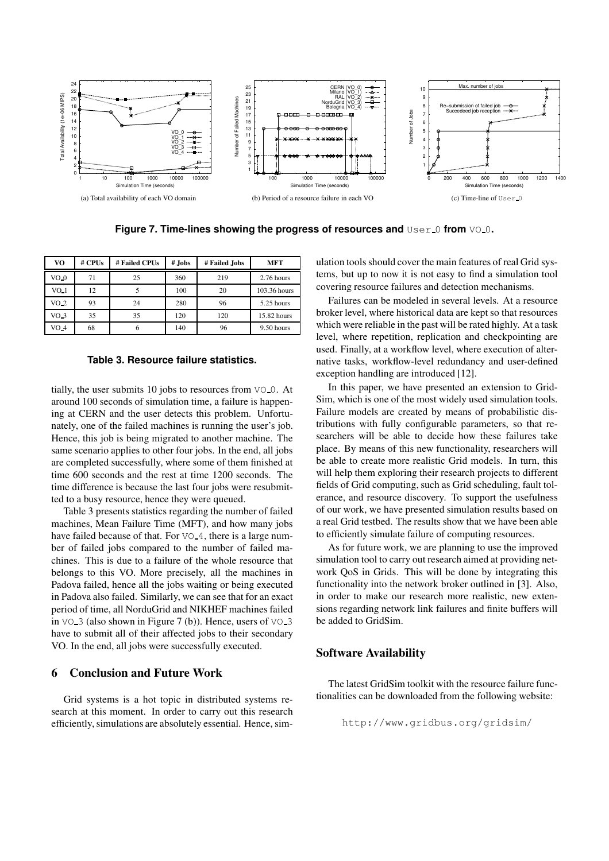

**Figure 7. Time-lines showing the progress of resources and** User 0 **from** VO 0**.**

| VO              | $#$ CPUs | # Failed CPUs | # Jobs | # Failed Jobs | MFT          |
|-----------------|----------|---------------|--------|---------------|--------------|
| VO <sub>0</sub> | 71       | 25            | 360    | 219           | 2.76 hours   |
| VO <sub>1</sub> | 12       |               | 100    | 20            | 103.36 hours |
| VO <sub>2</sub> | 93       | 24            | 280    | 96            | 5.25 hours   |
| VO <sub>3</sub> | 35       | 35            | 120    | 120           | 15.82 hours  |
| $VO-4$          | 68       | h             | 140    | 96            | 9.50 hours   |

### **Table 3. Resource failure statistics.**

tially, the user submits 10 jobs to resources from  $VO_0$ . At around 100 seconds of simulation time, a failure is happening at CERN and the user detects this problem. Unfortunately, one of the failed machines is running the user's job. Hence, this job is being migrated to another machine. The same scenario applies to other four jobs. In the end, all jobs are completed successfully, where some of them finished at time 600 seconds and the rest at time 1200 seconds. The time difference is because the last four jobs were resubmitted to a busy resource, hence they were queued.

Table 3 presents statistics regarding the number of failed machines, Mean Failure Time (MFT), and how many jobs have failed because of that. For VO<sub>-4</sub>, there is a large number of failed jobs compared to the number of failed machines. This is due to a failure of the whole resource that belongs to this VO. More precisely, all the machines in Padova failed, hence all the jobs waiting or being executed in Padova also failed. Similarly, we can see that for an exact period of time, all NorduGrid and NIKHEF machines failed in  $\sqrt{0}$  3 (also shown in Figure 7 (b)). Hence, users of  $\sqrt{0}$  3 have to submit all of their affected jobs to their secondary VO. In the end, all jobs were successfully executed.

## **6 Conclusion and Future Work**

Grid systems is a hot topic in distributed systems research at this moment. In order to carry out this research efficiently, simulations are absolutely essential. Hence, simulation tools should cover the main features of real Grid systems, but up to now it is not easy to find a simulation tool covering resource failures and detection mechanisms.

Failures can be modeled in several levels. At a resource broker level, where historical data are kept so that resources which were reliable in the past will be rated highly. At a task level, where repetition, replication and checkpointing are used. Finally, at a workflow level, where execution of alternative tasks, workflow-level redundancy and user-defined exception handling are introduced [12].

In this paper, we have presented an extension to Grid-Sim, which is one of the most widely used simulation tools. Failure models are created by means of probabilistic distributions with fully configurable parameters, so that researchers will be able to decide how these failures take place. By means of this new functionality, researchers will be able to create more realistic Grid models. In turn, this will help them exploring their research projects to different fields of Grid computing, such as Grid scheduling, fault tolerance, and resource discovery. To support the usefulness of our work, we have presented simulation results based on a real Grid testbed. The results show that we have been able to efficiently simulate failure of computing resources.

As for future work, we are planning to use the improved simulation tool to carry out research aimed at providing network QoS in Grids. This will be done by integrating this functionality into the network broker outlined in [3]. Also, in order to make our research more realistic, new extensions regarding network link failures and finite buffers will be added to GridSim.

## **Software Availability**

The latest GridSim toolkit with the resource failure functionalities can be downloaded from the following website:

http://www.gridbus.org/gridsim/